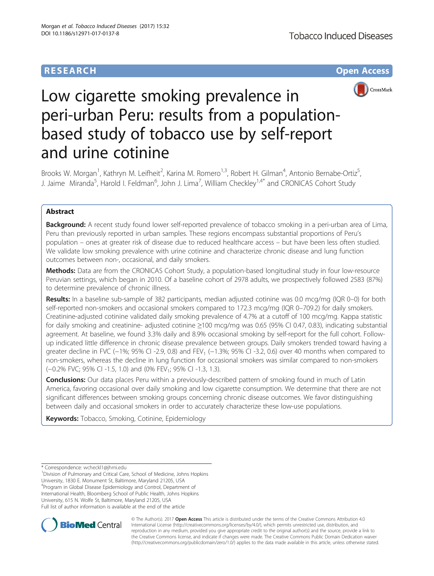# **RESEARCH CHE Open Access**



# Low cigarette smoking prevalence in peri-urban Peru: results from a populationbased study of tobacco use by self-report and urine cotinine

Brooks W. Morgan<sup>1</sup>, Kathryn M. Leifheit<sup>2</sup>, Karina M. Romero<sup>1,3</sup>, Robert H. Gilman<sup>4</sup>, Antonio Bernabe-Ortiz<sup>5</sup> , J. Jaime Miranda<sup>5</sup>, Harold I. Feldman<sup>6</sup>, John J. Lima<sup>7</sup>, William Checkley<sup>1,4\*</sup> and CRONICAS Cohort Study

# Abstract

Background: A recent study found lower self-reported prevalence of tobacco smoking in a peri-urban area of Lima, Peru than previously reported in urban samples. These regions encompass substantial proportions of Peru's population – ones at greater risk of disease due to reduced healthcare access – but have been less often studied. We validate low smoking prevalence with urine cotinine and characterize chronic disease and lung function outcomes between non-, occasional, and daily smokers.

Methods: Data are from the CRONICAS Cohort Study, a population-based longitudinal study in four low-resource Peruvian settings, which began in 2010. Of a baseline cohort of 2978 adults, we prospectively followed 2583 (87%) to determine prevalence of chronic illness.

Results: In a baseline sub-sample of 382 participants, median adjusted cotinine was 0.0 mcg/mg (IQR 0–0) for both self-reported non-smokers and occasional smokers compared to 172.3 mcg/mg (IQR 0–709.2) for daily smokers. Creatinine-adjusted cotinine validated daily smoking prevalence of 4.7% at a cutoff of 100 mcg/mg. Kappa statistic for daily smoking and creatinine- adjusted cotinine ≥100 mcg/mg was 0.65 (95% CI 0.47, 0.83), indicating substantial agreement. At baseline, we found 3.3% daily and 8.9% occasional smoking by self-report for the full cohort. Followup indicated little difference in chronic disease prevalence between groups. Daily smokers trended toward having a greater decline in FVC (−1%; 95% CI -2.9, 0.8) and FEV<sub>1</sub> (−1.3%; 95% CI -3.2, 0.6) over 40 months when compared to non-smokers, whereas the decline in lung function for occasional smokers was similar compared to non-smokers (-0.2% FVC; 95% CI -1.5, 1.0) and (0% FEV<sub>1</sub>; 95% CI -1.3, 1.3).

**Conclusions:** Our data places Peru within a previously-described pattern of smoking found in much of Latin America, favoring occasional over daily smoking and low cigarette consumption. We determine that there are not significant differences between smoking groups concerning chronic disease outcomes. We favor distinguishing between daily and occasional smokers in order to accurately characterize these low-use populations.

**Keywords:** Tobacco, Smoking, Cotinine, Epidemiology

\* Correspondence: [wcheckl1@jhmi.edu](mailto:wcheckl1@jhmi.edu) <sup>1</sup>

<sup>1</sup> Division of Pulmonary and Critical Care, School of Medicine, Johns Hopkins University, 1830 E. Monument St, Baltimore, Maryland 21205, USA 4 Program in Global Disease Epidemiology and Control, Department of International Health, Bloomberg School of Public Health, Johns Hopkins University, 615 N. Wolfe St, Baltimore, Maryland 21205, USA Full list of author information is available at the end of the article



© The Author(s). 2017 **Open Access** This article is distributed under the terms of the Creative Commons Attribution 4.0 International License [\(http://creativecommons.org/licenses/by/4.0/](http://creativecommons.org/licenses/by/4.0/)), which permits unrestricted use, distribution, and reproduction in any medium, provided you give appropriate credit to the original author(s) and the source, provide a link to the Creative Commons license, and indicate if changes were made. The Creative Commons Public Domain Dedication waiver [\(http://creativecommons.org/publicdomain/zero/1.0/](http://creativecommons.org/publicdomain/zero/1.0/)) applies to the data made available in this article, unless otherwise stated.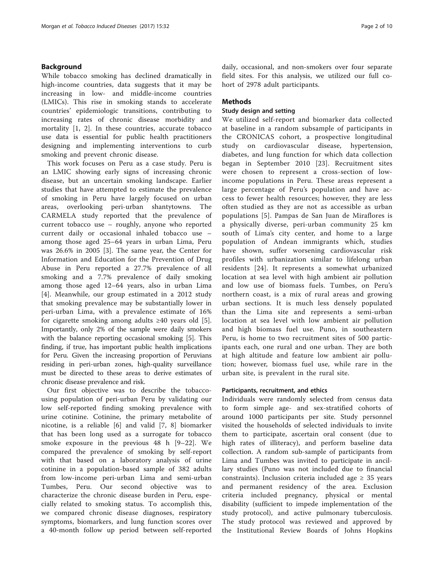# Background

While tobacco smoking has declined dramatically in high-income countries, data suggests that it may be increasing in low- and middle-income countries (LMICs). This rise in smoking stands to accelerate countries' epidemiologic transitions, contributing to increasing rates of chronic disease morbidity and mortality [\[1](#page-8-0), [2\]](#page-8-0). In these countries, accurate tobacco use data is essential for public health practitioners designing and implementing interventions to curb smoking and prevent chronic disease.

This work focuses on Peru as a case study. Peru is an LMIC showing early signs of increasing chronic disease, but an uncertain smoking landscape. Earlier studies that have attempted to estimate the prevalence of smoking in Peru have largely focused on urban areas, overlooking peri-urban shantytowns. The CARMELA study reported that the prevalence of current tobacco use – roughly, anyone who reported current daily or occasional inhaled tobacco use – among those aged 25–64 years in urban Lima, Peru was 26.6% in 2005 [[3\]](#page-8-0). The same year, the Center for Information and Education for the Prevention of Drug Abuse in Peru reported a 27.7% prevalence of all smoking and a 7.7% prevalence of daily smoking among those aged 12–64 years, also in urban Lima [[4\]](#page-8-0). Meanwhile, our group estimated in a 2012 study that smoking prevalence may be substantially lower in peri-urban Lima, with a prevalence estimate of 16% for cigarette smoking among adults  $\geq 40$  years old [\[5](#page-8-0)]. Importantly, only 2% of the sample were daily smokers with the balance reporting occasional smoking [\[5](#page-8-0)]. This finding, if true, has important public health implications for Peru. Given the increasing proportion of Peruvians residing in peri-urban zones, high-quality surveillance must be directed to these areas to derive estimates of chronic disease prevalence and risk.

Our first objective was to describe the tobaccousing population of peri-urban Peru by validating our low self-reported finding smoking prevalence with urine cotinine. Cotinine, the primary metabolite of nicotine, is a reliable [[6\]](#page-8-0) and valid [\[7, 8](#page-8-0)] biomarker that has been long used as a surrogate for tobacco smoke exposure in the previous 48 h [[9](#page-8-0)–[22\]](#page-8-0). We compared the prevalence of smoking by self-report with that based on a laboratory analysis of urine cotinine in a population-based sample of 382 adults from low-income peri-urban Lima and semi-urban Tumbes, Peru. Our second objective was to characterize the chronic disease burden in Peru, especially related to smoking status. To accomplish this, we compared chronic disease diagnoses, respiratory symptoms, biomarkers, and lung function scores over a 40-month follow up period between self-reported

daily, occasional, and non-smokers over four separate field sites. For this analysis, we utilized our full cohort of 2978 adult participants.

# **Methods**

# Study design and setting

We utilized self-report and biomarker data collected at baseline in a random subsample of participants in the CRONICAS cohort, a prospective longitudinal study on cardiovascular disease, hypertension, diabetes, and lung function for which data collection began in September 2010 [[23\]](#page-8-0). Recruitment sites were chosen to represent a cross-section of lowincome populations in Peru. These areas represent a large percentage of Peru's population and have access to fewer health resources; however, they are less often studied as they are not as accessible as urban populations [[5](#page-8-0)]. Pampas de San Juan de Miraflores is a physically diverse, peri-urban community 25 km south of Lima's city center, and home to a large population of Andean immigrants which, studies have shown, suffer worsening cardiovascular risk profiles with urbanization similar to lifelong urban residents [\[24\]](#page-8-0). It represents a somewhat urbanized location at sea level with high ambient air pollution and low use of biomass fuels. Tumbes, on Peru's northern coast, is a mix of rural areas and growing urban sections. It is much less densely populated than the Lima site and represents a semi-urban location at sea level with low ambient air pollution and high biomass fuel use. Puno, in southeastern Peru, is home to two recruitment sites of 500 participants each, one rural and one urban. They are both at high altitude and feature low ambient air pollution; however, biomass fuel use, while rare in the urban site, is prevalent in the rural site.

#### Participants, recruitment, and ethics

Individuals were randomly selected from census data to form simple age- and sex-stratified cohorts of around 1000 participants per site. Study personnel visited the households of selected individuals to invite them to participate, ascertain oral consent (due to high rates of illiteracy), and perform baseline data collection. A random sub-sample of participants from Lima and Tumbes was invited to participate in ancillary studies (Puno was not included due to financial constraints). Inclusion criteria included age  $\geq$  35 years and permanent residency of the area. Exclusion criteria included pregnancy, physical or mental disability (sufficient to impede implementation of the study protocol), and active pulmonary tuberculosis. The study protocol was reviewed and approved by the Institutional Review Boards of Johns Hopkins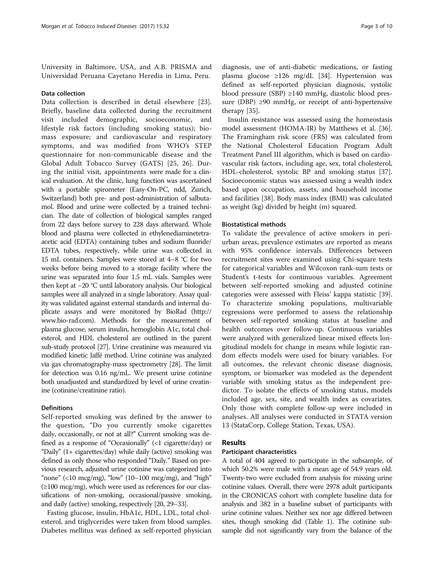University in Baltimore, USA, and A.B. PRISMA and Universidad Peruana Cayetano Heredia in Lima, Peru.

#### Data collection

Data collection is described in detail elsewhere [\[23](#page-8-0)]. Briefly, baseline data collected during the recruitment visit included demographic, socioeconomic, and lifestyle risk factors (including smoking status); biomass exposure; and cardiovascular and respiratory symptoms, and was modified from WHO's STEP questionnaire for non-communicable disease and the Global Adult Tobacco Survey (GATS) [[25, 26](#page-8-0)]. During the initial visit, appointments were made for a clinical evaluation. At the clinic, lung function was ascertained with a portable spirometer (Easy-On-PC, ndd, Zurich, Switzerland) both pre- and post-administration of salbutamol. Blood and urine were collected by a trained technician. The date of collection of biological samples ranged from 22 days before survey to 228 days afterward. Whole blood and plasma were collected in ethylenediaminetetraacetic acid (EDTA) containing tubes and sodium fluoride/ EDTA tubes, respectively, while urine was collected in 15 mL containers. Samples were stored at 4–8 °C for two weeks before being moved to a storage facility where the urine was separated into four 1.5 mL vials. Samples were then kept at −20 °C until laboratory analysis. Our biological samples were all analyzed in a single laboratory. Assay quality was validated against external standards and internal duplicate assays and were monitored by BioRad [\(http://](http://www.bio-rad.com) [www.bio-rad.com\)](http://www.bio-rad.com). Methods for the measurement of plasma glucose, serum insulin, hemoglobin A1c, total cholesterol, and HDL cholesterol are outlined in the parent sub-study protocol [[27\]](#page-8-0). Urine creatinine was measured via modified kinetic Jaffé method. Urine cotinine was analyzed via gas chromatography-mass spectrometry [\[28\]](#page-8-0). The limit for detection was 0.16 ng/mL. We present urine cotinine both unadjusted and standardized by level of urine creatinine (cotinine/creatinine ratio).

# Definitions

Self-reported smoking was defined by the answer to the question, "Do you currently smoke cigarettes daily, occasionally, or not at all?" Current smoking was defined as a response of "Occasionally" (<1 cigarette/day) or "Daily" (1+ cigarettes/day) while daily (active) smoking was defined as only those who responded "Daily." Based on previous research, adjusted urine cotinine was categorized into "none"  $(10 \text{ mcg/mg})$ , "low"  $(10-100 \text{ mcg/mg})$ , and "high"  $(\geq 100 \text{ mg/mg})$ , which were used as references for our classifications of non-smoking, occasional/passive smoking, and daily (active) smoking, respectively [[20](#page-8-0), [29](#page-8-0)–[33](#page-8-0)].

Fasting glucose, insulin, HbA1c, HDL, LDL, total cholesterol, and triglycerides were taken from blood samples. Diabetes mellitus was defined as self-reported physician

diagnosis, use of anti-diabetic medications, or fasting plasma glucose ≥126 mg/dL [\[34\]](#page-8-0). Hypertension was defined as self-reported physician diagnosis, systolic blood pressure (SBP) ≥140 mmHg, diastolic blood pressure (DBP) ≥90 mmHg, or receipt of anti-hypertensive therapy [\[35](#page-9-0)].

Insulin resistance was assessed using the homeostasis model assessment (HOMA-IR) by Matthews et al. [\[36](#page-9-0)]. The Framingham risk score (FRS) was calculated from the National Cholesterol Education Program Adult Treatment Panel III algorithm, which is based on cardiovascular risk factors, including age, sex, total cholesterol, HDL-cholesterol, systolic BP and smoking status [\[37](#page-9-0)]. Socioeconomic status was assessed using a wealth index based upon occupation, assets, and household income and facilities [[38\]](#page-9-0). Body mass index (BMI) was calculated as weight (kg) divided by height (m) squared.

#### Biostatistical methods

To validate the prevalence of active smokers in periurban areas, prevalence estimates are reported as means with 95% confidence intervals. Differences between recruitment sites were examined using Chi-square tests for categorical variables and Wilcoxon rank-sum tests or Student's t-tests for continuous variables. Agreement between self-reported smoking and adjusted cotinine categories were assessed with Fleiss' kappa statistic [\[39](#page-9-0)]. To characterize smoking populations, multivariable regressions were performed to assess the relationship between self-reported smoking status at baseline and health outcomes over follow-up. Continuous variables were analyzed with generalized linear mixed effects longitudinal models for change in means while logistic random effects models were used for binary variables. For all outcomes, the relevant chronic disease diagnosis, symptom, or biomarker was modeled as the dependent variable with smoking status as the independent predictor. To isolate the effects of smoking status, models included age, sex, site, and wealth index as covariates. Only those with complete follow-up were included in analyses. All analyses were conducted in STATA version 13 (StataCorp, College Station, Texas, USA).

#### Results

# Participant characteristics

A total of 404 agreed to participate in the subsample, of which 50.2% were male with a mean age of 54.9 years old. Twenty-two were excluded from analysis for missing urine cotinine values. Overall, there were 2978 adult participants in the CRONICAS cohort with complete baseline data for analysis and 382 in a baseline subset of participants with urine cotinine values. Neither sex nor age differed between sites, though smoking did (Table [1](#page-3-0)). The cotinine subsample did not significantly vary from the balance of the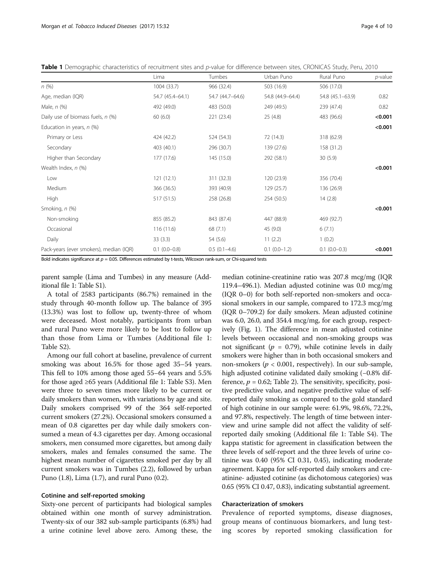<span id="page-3-0"></span>

|  | Table 1 Demographic characteristics of recruitment sites and p-value for difference between sites, CRONICAS Study, Peru, 2010 |  |  |  |  |
|--|-------------------------------------------------------------------------------------------------------------------------------|--|--|--|--|
|--|-------------------------------------------------------------------------------------------------------------------------------|--|--|--|--|

|                                         | Lima              | Tumbes           | Urban Puno       | Rural Puno        | $p$ -value |
|-----------------------------------------|-------------------|------------------|------------------|-------------------|------------|
| n(%)                                    | 1004 (33.7)       | 966 (32.4)       | 503 (16.9)       | 506 (17.0)        |            |
| Age, median (IQR)                       | 54.7 (45.4-64.1)  | 54.7 (44.7-64.6) | 54.8 (44.9-64.4) | 54.8 (45.1-63.9)  | 0.82       |
| Male, $n$ (%)                           | 492 (49.0)        | 483 (50.0)       | 249 (49.5)       | 239 (47.4)        | 0.82       |
| Daily use of biomass fuels, n (%)       | 60(6.0)           | 221 (23.4)       | 25(4.8)          | 483 (96.6)        | < 0.001    |
| Education in years, $n$ (%)             |                   |                  |                  |                   | < 0.001    |
| Primary or Less                         | 424 (42.2)        | 524 (54.3)       | 72 (14.3)        | 318 (62.9)        |            |
| Secondary                               | 403 (40.1)        | 296 (30.7)       | 139 (27.6)       | 158 (31.2)        |            |
| Higher than Secondary                   | 177 (17.6)        | 145 (15.0)       | 292 (58.1)       | 30(5.9)           |            |
| Wealth Index, n (%)                     |                   |                  |                  |                   | < 0.001    |
| Low                                     | 121(12.1)         | 311 (32.3)       | 120 (23.9)       | 356 (70.4)        |            |
| Medium                                  | 366 (36.5)        | 393 (40.9)       | 129 (25.7)       | 136 (26.9)        |            |
| High                                    | 517 (51.5)        | 258 (26.8)       | 254 (50.5)       | 14(2.8)           |            |
| Smoking, n (%)                          |                   |                  |                  |                   | < 0.001    |
| Non-smoking                             | 855 (85.2)        | 843 (87.4)       | 447 (88.9)       | 469 (92.7)        |            |
| Occasional                              | 116 (11.6)        | 68(7.1)          | 45 (9.0)         | 6(7.1)            |            |
| Daily                                   | 33(3.3)           | 54 (5.6)         | 11(2.2)          | 1(0.2)            |            |
| Pack-years (ever smokers), median (IQR) | $0.1$ $(0.0-0.8)$ | $0.5(0.1-4.6)$   | $0.1(0.0-1.2)$   | $0.1$ $(0.0-0.3)$ | < 0.001    |

Bold indicates significance at  $p = 0.05$ . Differences estimated by t-tests, Wilcoxon rank-sum, or Chi-squared tests

parent sample (Lima and Tumbes) in any measure (Additional file [1:](#page-7-0) Table S1).

A total of 2583 participants (86.7%) remained in the study through 40-month follow up. The balance of 395 (13.3%) was lost to follow up, twenty-three of whom were deceased. Most notably, participants from urban and rural Puno were more likely to be lost to follow up than those from Lima or Tumbes (Additional file [1](#page-7-0): Table S2).

Among our full cohort at baseline, prevalence of current smoking was about 16.5% for those aged 35–54 years. This fell to 10% among those aged 55–64 years and 5.5% for those aged ≥65 years (Additional file [1:](#page-7-0) Table S3). Men were three to seven times more likely to be current or daily smokers than women, with variations by age and site. Daily smokers comprised 99 of the 364 self-reported current smokers (27.2%). Occasional smokers consumed a mean of 0.8 cigarettes per day while daily smokers consumed a mean of 4.3 cigarettes per day. Among occasional smokers, men consumed more cigarettes, but among daily smokers, males and females consumed the same. The highest mean number of cigarettes smoked per day by all current smokers was in Tumbes (2.2), followed by urban Puno (1.8), Lima (1.7), and rural Puno (0.2).

# Cotinine and self-reported smoking

Sixty-one percent of participants had biological samples obtained within one month of survey administration. Twenty-six of our 382 sub-sample participants (6.8%) had a urine cotinine level above zero. Among these, the median cotinine-creatinine ratio was 207.8 mcg/mg (IQR 119.4–496.1). Median adjusted cotinine was 0.0 mcg/mg (IQR 0–0) for both self-reported non-smokers and occasional smokers in our sample, compared to 172.3 mcg/mg (IQR 0–709.2) for daily smokers. Mean adjusted cotinine was 6.0, 26.0, and 354.4 mcg/mg, for each group, respectively (Fig. [1](#page-4-0)). The difference in mean adjusted cotinine levels between occasional and non-smoking groups was not significant ( $p = 0.79$ ), while cotinine levels in daily smokers were higher than in both occasional smokers and non-smokers ( $p < 0.001$ , respectively). In our sub-sample, high adjusted cotinine validated daily smoking (-0.8% difference,  $p = 0.62$ ; Table [2](#page-4-0)). The sensitivity, specificity, positive predictive value, and negative predictive value of selfreported daily smoking as compared to the gold standard of high cotinine in our sample were: 61.9%, 98.6%, 72.2%, and 97.8%, respectively. The length of time between interview and urine sample did not affect the validity of selfreported daily smoking (Additional file [1:](#page-7-0) Table S4). The kappa statistic for agreement in classification between the three levels of self-report and the three levels of urine cotinine was 0.40 (95% CI 0.31, 0.45), indicating moderate agreement. Kappa for self-reported daily smokers and creatinine- adjusted cotinine (as dichotomous categories) was 0.65 (95% CI 0.47, 0.83), indicating substantial agreement.

#### Characterization of smokers

Prevalence of reported symptoms, disease diagnoses, group means of continuous biomarkers, and lung testing scores by reported smoking classification for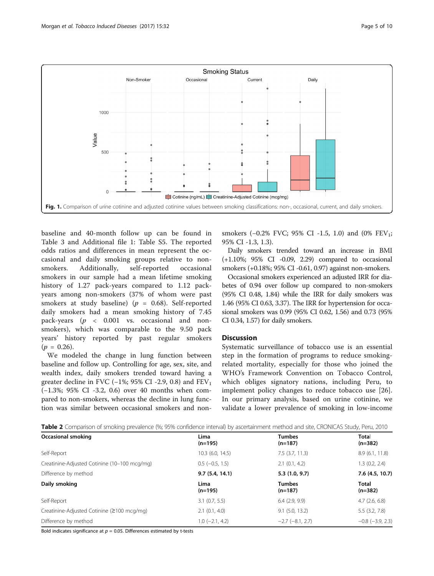<span id="page-4-0"></span>

baseline and 40-month follow up can be found in Table [3](#page-5-0) and Additional file [1:](#page-7-0) Table S5. The reported odds ratios and differences in mean represent the occasional and daily smoking groups relative to nonsmokers. Additionally, self-reported occasional smokers in our sample had a mean lifetime smoking history of 1.27 pack-years compared to 1.12 packyears among non-smokers (37% of whom were past smokers at study baseline) ( $p = 0.68$ ). Self-reported daily smokers had a mean smoking history of 7.45 pack-years ( $p \lt 0.001$  vs. occasional and nonsmokers), which was comparable to the 9.50 pack years' history reported by past regular smokers  $(p = 0.26)$ .

We modeled the change in lung function between baseline and follow up. Controlling for age, sex, site, and wealth index, daily smokers trended toward having a greater decline in FVC ( $-1\%$ ; 95% CI -2.9, 0.8) and FEV<sub>1</sub> (−1.3%; 95% CI -3.2, 0.6) over 40 months when compared to non-smokers, whereas the decline in lung function was similar between occasional smokers and non-

smokers  $(-0.2\%$  FVC; 95% CI -1.5, 1.0) and  $(0\%$  FEV<sub>1</sub>; 95% CI -1.3, 1.3).

Daily smokers trended toward an increase in BMI (+1.10%; 95% CI -0.09, 2.29) compared to occasional smokers (+0.18%; 95% CI -0.61, 0.97) against non-smokers.

Occasional smokers experienced an adjusted IRR for diabetes of 0.94 over follow up compared to non-smokers (95% CI 0.48, 1.84) while the IRR for daily smokers was 1.46 (95% CI 0.63, 3.37). The IRR for hypertension for occasional smokers was 0.99 (95% CI 0.62, 1.56) and 0.73 (95% CI 0.34, 1.57) for daily smokers.

# **Discussion**

Systematic surveillance of tobacco use is an essential step in the formation of programs to reduce smokingrelated mortality, especially for those who joined the WHO's Framework Convention on Tobacco Control, which obliges signatory nations, including Peru, to implement policy changes to reduce tobacco use [\[26](#page-8-0)]. In our primary analysis, based on urine cotinine, we validate a lower prevalence of smoking in low-income

| <b>Twish a</b> companion or sinoning presencies (1975) companies intervaly by absentant metric meanod and sitely and is becausing to red |                       |                            |                           |
|------------------------------------------------------------------------------------------------------------------------------------------|-----------------------|----------------------------|---------------------------|
| <b>Occasional smoking</b>                                                                                                                | Lima<br>$(n=195)$     | <b>Tumbes</b><br>$(n=187)$ | Total<br>$(n=382)$        |
| Self-Report                                                                                                                              | 10.3 (6.0, 14.5)      | $7.5$ (3.7, 11.3)          | 8.9(6.1, 11.8)            |
| Creatinine-Adjusted Cotinine (10-100 mcg/mg)                                                                                             | $0.5$ ( $-0.5$ , 1.5) | 2.1(0.1, 4.2)              | 1.3(0.2, 2.4)             |
| Difference by method                                                                                                                     | 9.7(5.4, 14.1)        | 5.3(1.0, 9.7)              | 7.6 (4.5, 10.7)           |
| Daily smoking                                                                                                                            | Lima<br>$(n=195)$     | <b>Tumbes</b><br>$(n=187)$ | <b>Total</b><br>$(n=382)$ |
| Self-Report                                                                                                                              | $3.1$ (0.7, 5.5)      | $6.4$ $(2.9, 9.9)$         | 4.7(2.6, 6.8)             |
| Creatinine-Adjusted Cotinine (≥100 mcg/mg)                                                                                               | 2.1(0.1, 4.0)         | $9.1$ (5.0, 13.2)          | 5.5(3.2, 7.8)             |
| Difference by method                                                                                                                     | $1.0$ (-2.1, 4.2)     | $-2.7$ $(-8.1, 2.7)$       | $-0.8$ $(-3.9, 2.3)$      |

Table 2 Comparison of smoking prevalence (%; 95% confidence interval) by ascertainment method and site, CRONICAS Study, Peru, 2010

Bold indicates significance at  $p = 0.05$ . Differences estimated by t-tests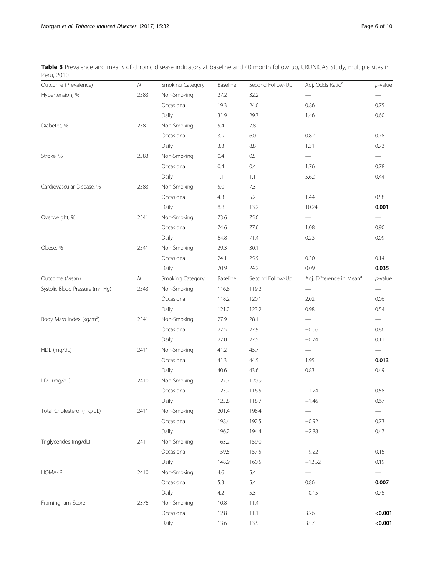<span id="page-5-0"></span>Table 3 Prevalence and means of chronic disease indicators at baseline and 40 month follow up, CRONICAS Study, multiple sites in Peru, 2010

| Outcome (Prevalence)                 | ${\cal N}$ | Smoking Category | Baseline | Second Follow-Up | Adj. Odds Ratio <sup>a</sup>         | $p$ -value |
|--------------------------------------|------------|------------------|----------|------------------|--------------------------------------|------------|
| Hypertension, %                      | 2583       | Non-Smoking      | 27.2     | 32.2             |                                      |            |
|                                      |            | Occasional       | 19.3     | 24.0             | 0.86                                 | 0.75       |
|                                      |            | Daily            | 31.9     | 29.7             | 1.46                                 | 0.60       |
| Diabetes, %                          | 2581       | Non-Smoking      | 5.4      | 7.8              |                                      |            |
|                                      |            | Occasional       | 3.9      | 6.0              | 0.82                                 | 0.78       |
|                                      |            | Daily            | 3.3      | 8.8              | 1.31                                 | 0.73       |
| Stroke, %                            | 2583       | Non-Smoking      | 0.4      | 0.5              |                                      |            |
|                                      |            | Occasional       | 0.4      | 0.4              | 1.76                                 | 0.78       |
|                                      |            | Daily            | 1.1      | 1.1              | 5.62                                 | 0.44       |
| Cardiovascular Disease, %            | 2583       | Non-Smoking      | $5.0\,$  | 7.3              |                                      |            |
|                                      |            | Occasional       | 4.3      | 5.2              | 1.44                                 | 0.58       |
|                                      |            | Daily            | 8.8      | 13.2             | 10.24                                | 0.001      |
| Overweight, %                        | 2541       | Non-Smoking      | 73.6     | 75.0             |                                      |            |
|                                      |            | Occasional       | 74.6     | 77.6             | 1.08                                 | 0.90       |
|                                      |            | Daily            | 64.8     | 71.4             | 0.23                                 | 0.09       |
| Obese, %                             | 2541       | Non-Smoking      | 29.3     | 30.1             |                                      |            |
|                                      |            | Occasional       | 24.1     | 25.9             | 0.30                                 | 0.14       |
|                                      |            | Daily            | 20.9     | 24.2             | 0.09                                 | 0.035      |
| Outcome (Mean)                       | ${\cal N}$ | Smoking Category | Baseline | Second Follow-Up | Adj. Difference in Mean <sup>a</sup> | $p$ -value |
| Systolic Blood Pressure (mmHg)       | 2543       | Non-Smoking      | 116.8    | 119.2            |                                      |            |
|                                      |            | Occasional       | 118.2    | 120.1            | 2.02                                 | 0.06       |
|                                      |            | Daily            | 121.2    | 123.2            | 0.98                                 | 0.54       |
| Body Mass Index (kg/m <sup>2</sup> ) | 2541       | Non-Smoking      | 27.9     | 28.1             |                                      |            |
|                                      |            | Occasional       | 27.5     | 27.9             | $-0.06$                              | 0.86       |
|                                      |            | Daily            | 27.0     | 27.5             | $-0.74$                              | 0.11       |
| HDL (mg/dL)                          | 2411       | Non-Smoking      | 41.2     | 45.7             |                                      |            |
|                                      |            | Occasional       | 41.3     | 44.5             | 1.95                                 | 0.013      |
|                                      |            | Daily            | 40.6     | 43.6             | 0.83                                 | 0.49       |
| LDL (mg/dL)                          | 2410       | Non-Smoking      | 127.7    | 120.9            |                                      |            |
|                                      |            | Occasional       | 125.2    | 116.5            | $-1.24$                              | 0.58       |
|                                      |            | Daily            | 125.8    | 118.7            | $-1.46$                              | 0.67       |
| Total Cholesterol (mg/dL)            | 2411       | Non-Smoking      | 201.4    | 198.4            | $\overline{\phantom{0}}$             |            |
|                                      |            | Occasional       | 198.4    | 192.5            | $-0.92$                              | 0.73       |
|                                      |            | Daily            | 196.2    | 194.4            | $-2.88$                              | 0.47       |
| Triglycerides (mg/dL)                | 2411       | Non-Smoking      | 163.2    | 159.0            |                                      |            |
|                                      |            | Occasional       | 159.5    | 157.5            | $-9.22$                              | 0.15       |
|                                      |            | Daily            | 148.9    | 160.5            | $-12.52$                             | 0.19       |
| <b>HOMA-IR</b>                       | 2410       | Non-Smoking      | 4.6      | 5.4              |                                      |            |
|                                      |            | Occasional       | 5.3      | 5.4              | 0.86                                 | 0.007      |
|                                      |            | Daily            | $4.2\,$  | 5.3              | $-0.15$                              | 0.75       |
| Framingham Score                     | 2376       | Non-Smoking      | 10.8     | 11.4             |                                      |            |
|                                      |            | Occasional       | 12.8     | 11.1             | 3.26                                 | < 0.001    |
|                                      |            | Daily            | 13.6     | 13.5             | 3.57                                 | < 0.001    |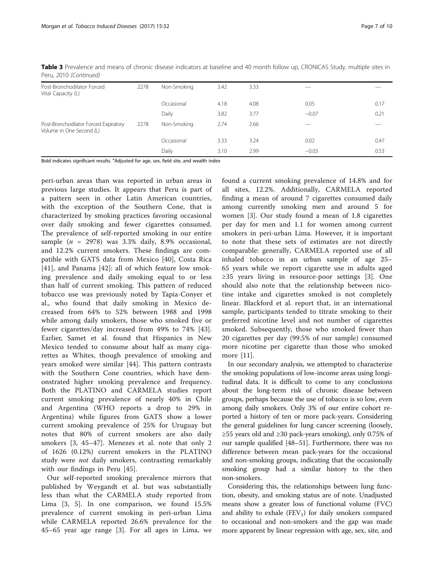| Table 3 Prevalence and means of chronic disease indicators at baseline and 40 month follow up, CRONICAS Study, multiple sites in |  |  |
|----------------------------------------------------------------------------------------------------------------------------------|--|--|
| Peru, 2010 (Continued)                                                                                                           |  |  |

| Post-Bronchodilator Forced<br>Vital Capacity (L)                  | 2278 | Non-Smoking | 3.42 | 3.33 |         |      |
|-------------------------------------------------------------------|------|-------------|------|------|---------|------|
|                                                                   |      | Occasional  | 4.18 | 4.08 | 0.05    | 0.17 |
|                                                                   |      | Daily       | 3.82 | 3.77 | $-0.07$ | 0.21 |
| Post-Bronchodilator Forced Expiratory<br>Volume in One Second (L) | 2278 | Non-Smoking | 2.74 | 2.66 |         |      |
|                                                                   |      | Occasional  | 3.33 | 3.24 | 0.02    | 0.47 |
|                                                                   |      | Daily       | 3.10 | 2.99 | $-0.03$ | 0.53 |

Bold indicates significant results. <sup>a</sup>Adjusted for age, sex, field site, and wealth index

peri-urban areas than was reported in urban areas in previous large studies. It appears that Peru is part of a pattern seen in other Latin American countries, with the exception of the Southern Cone, that is characterized by smoking practices favoring occasional over daily smoking and fewer cigarettes consumed. The prevalence of self-reported smoking in our entire sample ( $n = 2978$ ) was 3.3% daily, 8.9% occasional, and 12.2% current smokers. These findings are compatible with GATS data from Mexico [\[40](#page-9-0)], Costa Rica [[41\]](#page-9-0), and Panama [[42\]](#page-9-0): all of which feature low smoking prevalence and daily smoking equal to or less than half of current smoking. This pattern of reduced tobacco use was previously noted by Tapia-Conyer et al., who found that daily smoking in Mexico decreased from 64% to 52% between 1988 and 1998 while among daily smokers, those who smoked five or fewer cigarettes/day increased from 49% to 74% [\[43](#page-9-0)]. Earlier, Samet et al. found that Hispanics in New Mexico tended to consume about half as many cigarettes as Whites, though prevalence of smoking and years smoked were similar [[44\]](#page-9-0). This pattern contrasts with the Southern Cone countries, which have demonstrated higher smoking prevalence and frequency. Both the PLATINO and CARMELA studies report current smoking prevalence of nearly 40% in Chile and Argentina (WHO reports a drop to 29% in Argentina) while figures from GATS show a lower current smoking prevalence of 25% for Uruguay but notes that 80% of current smokers are also daily smokers [[3,](#page-8-0) [45](#page-9-0)–[47\]](#page-9-0). Menezes et al. note that only 2 of 1626 (0.12%) current smokers in the PLATINO study were *not* daily smokers, contrasting remarkably with our findings in Peru [[45\]](#page-9-0).

Our self-reported smoking prevalence mirrors that published by Weygandt et al. but was substantially less than what the CARMELA study reported from Lima [[3](#page-8-0), [5](#page-8-0)]. In one comparison, we found 15.5% prevalence of current smoking in peri-urban Lima while CARMELA reported 26.6% prevalence for the 45–65 year age range [\[3](#page-8-0)]. For all ages in Lima, we found a current smoking prevalence of 14.8% and for all sites, 12.2%. Additionally, CARMELA reported finding a mean of around 7 cigarettes consumed daily among currently smoking men and around 5 for women [[3\]](#page-8-0). Our study found a mean of 1.8 cigarettes per day for men and 1.1 for women among current smokers in peri-urban Lima. However, it is important to note that these sets of estimates are not directly comparable: generally, CARMELA reported use of all inhaled tobacco in an urban sample of age 25– 65 years while we report cigarette use in adults aged ≥35 years living in resource-poor settings [[3](#page-8-0)]. One should also note that the relationship between nicotine intake and cigarettes smoked is not completely linear. Blackford et al. report that, in an international sample, participants tended to titrate smoking to their preferred nicotine level and not number of cigarettes smoked. Subsequently, those who smoked fewer than 20 cigarettes per day (99.5% of our sample) consumed more nicotine per cigarette than those who smoked more [[11\]](#page-8-0).

In our secondary analysis, we attempted to characterize the smoking populations of low-income areas using longitudinal data. It is difficult to come to any conclusions about the long-term risk of chronic disease between groups, perhaps because the use of tobacco is so low, even among daily smokers. Only 3% of our entire cohort reported a history of ten or more pack-years. Considering the general guidelines for lung cancer screening (loosely, ≥55 years old and ≥30 pack-years smoking), only 0.75% of our sample qualified [[48](#page-9-0)–[51\]](#page-9-0). Furthermore, there was no difference between mean pack-years for the occasional and non-smoking groups, indicating that the occasionally smoking group had a similar history to the then non-smokers.

Considering this, the relationships between lung function, obesity, and smoking status are of note. Unadjusted means show a greater loss of functional volume (FVC) and ability to exhale  $(FEV<sub>1</sub>)$  for daily smokers compared to occasional and non-smokers and the gap was made more apparent by linear regression with age, sex, site, and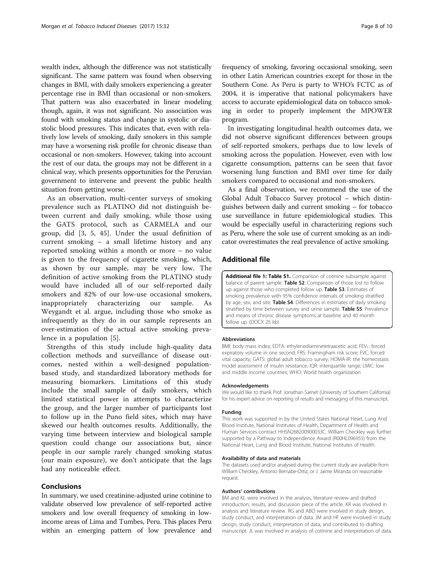<span id="page-7-0"></span>wealth index, although the difference was not statistically significant. The same pattern was found when observing changes in BMI, with daily smokers experiencing a greater percentage rise in BMI than occasional or non-smokers. That pattern was also exacerbated in linear modeling though, again, it was not significant. No association was found with smoking status and change in systolic or diastolic blood pressures. This indicates that, even with relatively low levels of smoking, daily smokers in this sample may have a worsening risk profile for chronic disease than occasional or non-smokers. However, taking into account the rest of our data, the groups may not be different in a clinical way, which presents opportunities for the Peruvian government to intervene and prevent the public health situation from getting worse.

As an observation, multi-center surveys of smoking prevalence such as PLATINO did not distinguish between current and daily smoking, while those using the GATS protocol, such as CARMELA and our group, did [\[3](#page-8-0), [5](#page-8-0), [45](#page-9-0)]. Under the usual definition of current smoking – a small lifetime history and any reported smoking within a month or more – no value is given to the frequency of cigarette smoking, which, as shown by our sample, may be very low. The definition of active smoking from the PLATINO study would have included all of our self-reported daily smokers and 82% of our low-use occasional smokers, inappropriately characterizing our sample. Weygandt et al. argue, including those who smoke as infrequently as they do in our sample represents an over-estimation of the actual active smoking prevalence in a population [[5\]](#page-8-0).

Strengths of this study include high-quality data collection methods and surveillance of disease outcomes, nested within a well-designed populationbased study, and standardized laboratory methods for measuring biomarkers. Limitations of this study include the small sample of daily smokers, which limited statistical power in attempts to characterize the group, and the larger number of participants lost to follow up in the Puno field sites, which may have skewed our health outcomes results. Additionally, the varying time between interview and biological sample question could change our associations but, since people in our sample rarely changed smoking status (our main exposure), we don't anticipate that the lags had any noticeable effect.

#### Conclusions

In summary, we used creatinine-adjusted urine cotinine to validate observed low prevalence of self-reported active smokers and low overall frequency of smoking in lowincome areas of Lima and Tumbes, Peru. This places Peru within an emerging pattern of low prevalence and

frequency of smoking, favoring occasional smoking, seen in other Latin American countries except for those in the Southern Cone. As Peru is party to WHO's FCTC as of 2004, it is imperative that national policymakers have access to accurate epidemiological data on tobacco smoking in order to properly implement the MPOWER program.

In investigating longitudinal health outcomes data, we did not observe significant differences between groups of self-reported smokers, perhaps due to low levels of smoking across the population. However, even with low cigarette consumption, patterns can be seen that favor worsening lung function and BMI over time for daily smokers compared to occasional and non-smokers.

As a final observation, we recommend the use of the Global Adult Tobacco Survey protocol – which distinguishes between daily and current smoking – for tobacco use surveillance in future epidemiological studies. This would be especially useful in characterizing regions such as Peru, where the sole use of current smoking as an indicator overestimates the real prevalence of active smoking.

# Additional file

[Additional file 1: Table S1.](dx.doi.org/10.1186/s12971-017-0137-8) Comparison of cotinine subsample against balance of parent sample. Table S2. Comparison of those lost to follow up against those who completed follow up. Table S3. Estimates of smoking prevalence with 95% confidence intervals of smoking stratified by age, sex, and site. Table S4. Differences in estimates of daily smoking stratified by time between survey and urine sample. **Table S5**. Prevalence and means of chronic disease symptoms at baseline and 40 month follow up. (DOCX 25 kb)

#### Abbreviations

BMI: body mass index; EDTA: ethylenediaminetetraacetic acid; FEV<sub>1</sub>: forced expiratory volume in one second; FRS: Framingham risk score; FVC: forced vital capacity; GATS: global adult tobacco survey; HOMA-IR: the homeostasis model assessment of insulin resistance; IQR: interquartile range; LMIC: low and middle income countries; WHO: World health organization

#### Acknowledgements

We would like to thank Prof. Jonathan Samet (University of Southern California) for his expert advice on reporting of results and messaging of this manuscript.

#### Funding

This work was supported in by the United States National Heart, Lung And Blood Institute, National Institutes of Health, Department of Health and Human Services contract HHSN268200900033C. William Checkley was further supported by a Pathway to Independence Award (R00HL096955) from the National Heart, Lung and Blood Institute, National Institutes of Health.

#### Availability of data and materials

The datasets used and/or analysed during the current study are available from William Checkley, Antonio Bernabe-Ortiz, or J. Jaime Miranda on reasonable request.

#### Authors' contributions

BM and KL were involved in the analysis, literature review and drafted introduction, results, and discussion piece of the article. KR was involved in analysis and literature review. RG and ABO were involved in study design, study conduct, and interpretation of data. JM and HF were involved in study design, study conduct, interpretation of data, and contributed to drafting manuscript. JL was involved in analysis of cotinine and interpretation of data.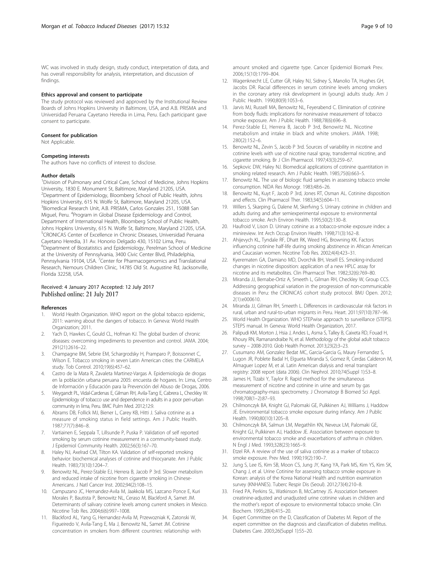<span id="page-8-0"></span>WC was involved in study design, study conduct, interpretation of data, and has overall responsibility for analysis, interpretation, and discussion of findings.

#### Ethics approval and consent to participate

The study protocol was reviewed and approved by the Institutional Review Boards of Johns Hopkins University in Baltimore, USA, and A.B. PRISMA and Universidad Peruana Cayetano Heredia in Lima, Peru. Each participant gave consent to participate.

#### Consent for publication

Not Applicable.

#### Competing interests

The authors have no conflicts of interest to disclose.

#### Author details

<sup>1</sup> Division of Pulmonary and Critical Care, School of Medicine, Johns Hopkins University, 1830 E. Monument St, Baltimore, Maryland 21205, USA. <sup>2</sup>Department of Epidemiology, Bloomberg School of Public Health, Johns Hopkins University, 615 N. Wolfe St, Baltimore, Maryland 21205, USA. 3 Biomedical Research Unit, A.B. PRISMA, Carlos Gonzales 251, 15088 San Miguel, Peru. <sup>4</sup>Program in Global Disease Epidemiology and Control, Department of International Health, Bloomberg School of Public Health, Johns Hopkins University, 615 N. Wolfe St, Baltimore, Maryland 21205, USA. 5 CRONICAS Center of Excellence in Chronic Diseases, Universidad Peruana Cayetano Heredia, 31 Av. Honorio Delgado 430, 15102 Lima, Peru. <sup>6</sup>Department of Biostatistics and Epidemiology, Perelman School of Medicine at the University of Pennsylvania, 3400 Civic Center Blvd, Philadelphia, Pennsylvania 19104, USA. <sup>7</sup> Center for Pharmacogenomics and Translational Research, Nemours Children Clinic, 14785 Old St. Augustine Rd, Jacksonville, Florida 32258, USA.

# Received: 4 January 2017 Accepted: 12 July 2017 Published online: 21 July 2017

#### References

- World Health Organization. WHO report on the global tobacco epidemic, 2011: warning about the dangers of tobacco. In Geneva: World Health Organization; 2011.
- Yach D, Hawkes C, Gould CL, Hofman KJ. The global burden of chronic diseases: overcoming impediments to prevention and control. JAMA. 2004; 291(21):2616–22.
- 3. Champagne BM, Sebrie EM, Schargrodsky H, Pramparo P, Boissonnet C, Wilson E. Tobacco smoking in seven Latin American cities: the CARMELA study. Tob Control. 2010;19(6):457–62.
- 4. Castro de la Mata R, Zavaleta Martinez-Vargas A. Epidemiología de drogas en la población urbana peruana 2005: encuesta de hogares. In: Lima, Centro de Información y Educación para la Prevención del Abuso de Drogas, 2006.
- 5. Weygandt PL, Vidal-Cardenas E, Gilman RH, Avila-Tang E, Cabrera L, Checkley W. Epidemiology of tobacco use and dependence in adults in a poor peri-urban community in lima, Peru. BMC Pulm Med. 2012;12:9.
- 6. Abrams DB, Follick MJ, Biener L, Carey KB, Hitti J. Saliva cotinine as a measure of smoking status in field settings. Am J Public Health. 1987;77(7):846–8.
- 7. Vartiainen E, Seppala T, Lillsunde P, Puska P. Validation of self reported smoking by serum cotinine measurement in a community-based study. J Epidemiol Community Health. 2002;56(3):167–70.
- Haley NJ, Axelrad CM, Tilton KA. Validation of self-reported smoking behavior: biochemical analyses of cotinine and thiocyanate. Am J Public Health. 1983;73(10):1204–7.
- 9. Benowitz NL, Perez-Stable EJ, Herrera B, Jacob P 3rd. Slower metabolism and reduced intake of nicotine from cigarette smoking in Chinese-Americans. J Natl Cancer Inst. 2002;94(2):108–15.
- 10. Campuzano JC, Hernandez-Avila M, Jaakkola MS, Lazcano Ponce E, Kuri Morales P, Bautista P, Benowitz NL, Ceraso M, Blackford A, Samet JM. Determinants of salivary cotinine levels among current smokers in Mexico. Nicotine Tob Res. 2004;6(6):997–1008.
- 11. Blackford AL, Yang G, Hernandez-Avila M, Przewozniak K, Zatonski W, Figueiredo V, Avila-Tang E, Ma J, Benowitz NL, Samet JM. Cotinine concentration in smokers from different countries: relationship with

amount smoked and cigarette type. Cancer Epidemiol Biomark Prev. 2006;15(10):1799–804.

- 12. Wagenknecht LE, Cutter GR, Haley NJ, Sidney S, Manolio TA, Hughes GH, Jacobs DR. Racial differences in serum cotinine levels among smokers in the coronary artery risk development in (young) adults study. Am J Public Health. 1990;80(9):1053–6.
- 13. Jarvis MJ, Russell MA, Benowitz NL, Feyerabend C. Elimination of cotinine from body fluids: implications for noninvasive measurement of tobacco smoke exposure. Am J Public Health. 1988;78(6):696–8.
- 14. Perez-Stable EJ, Herrera B, Jacob P 3rd, Benowitz NL. Nicotine metabolism and intake in black and white smokers. JAMA. 1998; 280(2):152–6.
- 15. Benowitz NL, Zevin S, Jacob P 3rd. Sources of variability in nicotine and cotinine levels with use of nicotine nasal spray, transdermal nicotine, and cigarette smoking. Br J Clin Pharmacol. 1997;43(3):259–67.
- 16. Sepkovic DW, Haley NJ. Biomedical applications of cotinine quantitation in smoking related research. Am J Public Health. 1985;75(6):663–5.
- 17. Benowitz NL. The use of biologic fluid samples in assessing tobacco smoke consumption. NIDA Res Monogr. 1983;48:6–26.
- 18. Benowitz NL, Kuyt F, Jacob P 3rd, Jones RT, Osman AL. Cotinine disposition and effects. Clin Pharmacol Ther. 1983;34(5):604–11.
- 19. Willers S, Skarping G, Dalene M, Skerfving S. Urinary cotinine in children and adults during and after semiexperimental exposure to environmental tobacco smoke. Arch Environ Health. 1995;50(2):130–8.
- 20. Haufroid V, Lison D. Urinary cotinine as a tobacco-smoke exposure index: a minireview. Int Arch Occup Environ Health. 1998;71(3):162–8.
- 21. Ahijevych KL, Tyndale RF, Dhatt RK, Weed HG, Browning KK. Factors influencing cotinine half-life during smoking abstinence in African American and Caucasian women. Nicotine Tob Res. 2002;4(4):423–31.
- 22. Kyerematen GA, Damiano MD, Dvorchik BH, Vesell ES. Smoking-induced changes in nicotine disposition: application of a new HPLC assay for nicotine and its metabolites. Clin Pharmacol Ther. 1982;32(6):769–80.
- 23. Miranda JJ, Bernabe-Ortiz A, Smeeth L, Gilman RH, Checkley W, Group CCS. Addressing geographical variation in the progression of non-communicable diseases in Peru: the CRONICAS cohort study protocol. BMJ Open. 2012; 2(1):e000610.
- 24. Miranda JJ, Gilman RH, Smeeth L. Differences in cardiovascular risk factors in rural, urban and rural-to-urban migrants in Peru. Heart. 2011;97(10):787–96.
- 25. World Health Organization. WHO STEPwise approach to surveillance (STEPS). STEPS manual. In Geneva: World Health Organization, 2017.
- 26. Palipudi KM, Morton J, Hsia J, Andes L, Asma S, Talley B, Caixeta RD, Fouad H, Khoury RN, Ramanandraibe N, et al. Methodology of the global adult tobacco survey – 2008-2010. Glob Health Promot. 2013;23(2):3–23.
- 27. Cusumano AM, Gonzalez Bedat MC, Garcia-Garcia G, Maury Fernandez S, Lugon JR, Poblete Badal H, Elgueta Miranda S, Gomez R, Cerdas Calderon M, Almaguer Lopez M, et al. Latin American dialysis and renal transplant registry: 2008 report (data 2006). Clin Nephrol. 2010;74(Suppl 1):S3–8.
- 28. James H, Tizabi Y, Taylor R. Rapid method for the simultaneous measurement of nicotine and cotinine in urine and serum by gas chromatography-mass spectrometry. J Chromatogr B Biomed Sci Appl. 1998;708(1–2):87–93.
- 29. Chilmonczyk BA, Knight GJ, Palomaki GE, Pulkkinen AJ, Williams J, Haddow JE. Environmental tobacco smoke exposure during infancy. Am J Public Health. 1990;80(10):1205–8.
- 30. Chilmonczyk BA, Salmun LM, Megathlin KN, Neveux LM, Palomaki GE, Knight GJ, Pulkkinen AJ, Haddow JE. Association between exposure to environmental tobacco smoke and exacerbations of asthma in children. N Engl J Med. 1993;328(23):1665–9.
- 31. Etzel RA. A review of the use of saliva cotinine as a marker of tobacco smoke exposure. Prev Med. 1990;19(2):190–7.
- 32. Jung S, Lee IS, Kim SB, Moon CS, Jung JY, Kang YA, Park MS, Kim YS, Kim SK, Chang J, et al. Urine Cotinine for assessing tobacco smoke exposure in Korean: analysis of the Korea National Health and nutrition examination survey (KNHANES). Tuberc Respir Dis (Seoul). 2012;73(4):210–8.
- 33. Fried PA, Perkins SL, Watkinson B, McCartney JS. Association between creatinine-adjusted and unadjusted urine cotinine values in children and the mother's report of exposure to environmental tobacco smoke. Clin Biochem. 1995;28(4):415–20.
- 34. Expert Committee on the D, Classification of Diabetes M. Report of the expert committee on the diagnosis and classification of diabetes mellitus. Diabetes Care. 2003;26(Suppl 1):S5–20.